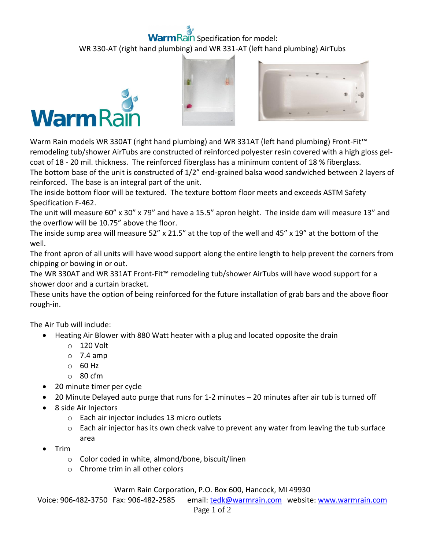## ain Specification for model: WR 330-AT (right hand plumbing) and WR 331-AT (left hand plumbing) AirTubs







Warm Rain models WR 330AT (right hand plumbing) and WR 331AT (left hand plumbing) Front-Fit™ remodeling tub/shower AirTubs are constructed of reinforced polyester resin covered with a high gloss gelcoat of 18 - 20 mil. thickness. The reinforced fiberglass has a minimum content of 18 % fiberglass. The bottom base of the unit is constructed of 1/2" end-grained balsa wood sandwiched between 2 layers of reinforced. The base is an integral part of the unit.

The inside bottom floor will be textured. The texture bottom floor meets and exceeds ASTM Safety Specification F-462.

The unit will measure 60" x 30" x 79" and have a 15.5" apron height. The inside dam will measure 13" and the overflow will be 10.75" above the floor.

The inside sump area will measure 52" x 21.5" at the top of the well and 45" x 19" at the bottom of the well.

The front apron of all units will have wood support along the entire length to help prevent the corners from chipping or bowing in or out.

The WR 330AT and WR 331AT Front-Fit™ remodeling tub/shower AirTubs will have wood support for a shower door and a curtain bracket.

These units have the option of being reinforced for the future installation of grab bars and the above floor rough-in.

The Air Tub will include:

- Heating Air Blower with 880 Watt heater with a plug and located opposite the drain
	- o 120 Volt
	- $\circ$  7.4 amp
	- o 60 Hz
	- o 80 cfm
- 20 minute timer per cycle
- 20 Minute Delayed auto purge that runs for 1-2 minutes 20 minutes after air tub is turned off
- 8 side Air Injectors
	- o Each air injector includes 13 micro outlets
	- $\circ$  Each air injector has its own check valve to prevent any water from leaving the tub surface area
- Trim
	- o Color coded in white, almond/bone, biscuit/linen
	- $\circ$  Chrome trim in all other colors

## Warm Rain Corporation, P.O. Box 600, Hancock, MI 49930

Voice: 906-482-3750 Fax: 906-482-2585 email[: tedk@warmrain.com](mailto:tedk@warmrain.com) website: [www.warmrain.com](http://www.warmrain.com/)